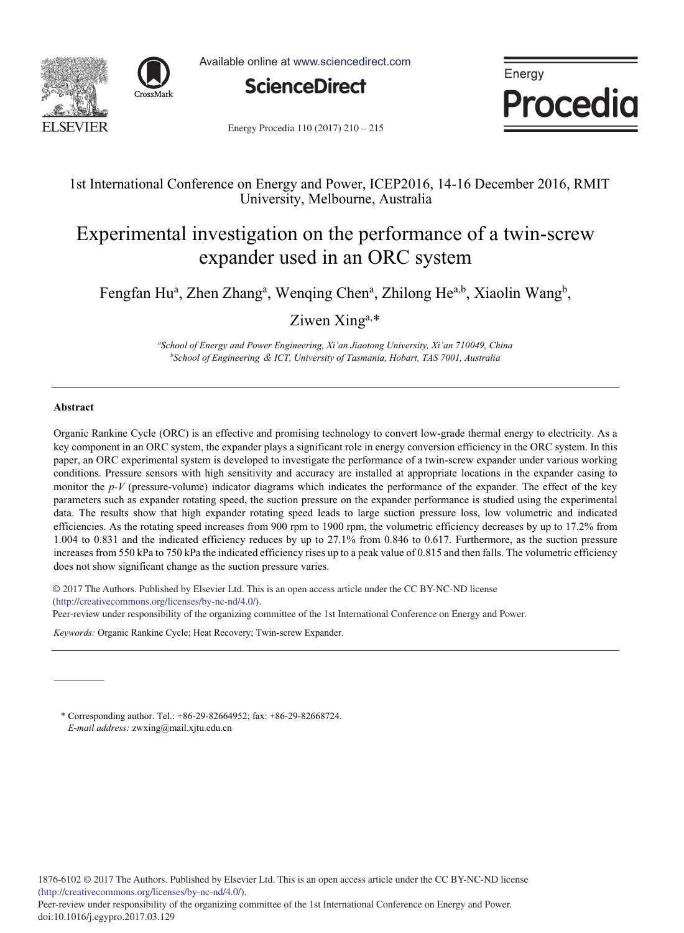



Available online at www.sciencedirect.com



Energy **Procedia** 

Energy Procedia 110 (2017) 210 - 215

# 1st International Conference on Energy and Power, ICEP2016, 14-16 December 2016, RMIT University, Melbourne, Australia

# Experimental investigation on the performance of a twin-screw expander used in an ORC system

Fengfan Hu<sup>a</sup>, Zhen Zhang<sup>a</sup>, Wenqing Chen<sup>a</sup>, Zhilong He<sup>a,b</sup>, Xiaolin Wang<sup>b</sup>,

Ziwen Xing<sup>a,\*</sup>

*a School of Energy and Power Engineering, Xi'an Jiaotong University, Xi'an 710049, China b School of Engineering* ˂ *ICT, University of Tasmania, Hobart, TAS 7001, Australia*

# **Abstract**

Organic Rankine Cycle (ORC) is an effective and promising technology to convert low-grade thermal energy to electricity. As a key component in an ORC system, the expander plays a significant role in energy conversion efficiency in the ORC system. In this paper, an ORC experimental system is developed to investigate the performance of a twin-screw expander under various working conditions. Pressure sensors with high sensitivity and accuracy are installed at appropriate locations in the expander casing to monitor the *p-V* (pressure-volume) indicator diagrams which indicates the performance of the expander. The effect of the key parameters such as expander rotating speed, the suction pressure on the expander performance is studied using the experimental data. The results show that high expander rotating speed leads to large suction pressure loss, low volumetric and indicated efficiencies. As the rotating speed increases from 900 rpm to 1900 rpm, the volumetric efficiency decreases by up to 17.2% from 1.004 to 0.831 and the indicated efficiency reduces by up to 27.1% from 0.846 to 0.617. Furthermore, as the suction pressure increases from 550 kPa to 750 kPa the indicated efficiency rises up to a peak value of 0.815 and then falls. The volumetric efficiency does not show significant change as the suction pressure varies.

© 2017 The Authors. Published by Elsevier Ltd. © 2017 The Authors. Published by Elsevier Ltd. This is an open access article under the CC BY-NC-ND license (http://creativecommons.org/licenses/by-nc-nd/4.0/).

(imp.//creativecommons.org/incenses/oy-ne-na/4.0/).<br>Peer-review under responsibility of the organizing committee of the 1st International Conference on Energy and Power.

*Keywords:* Organic Rankine Cycle; Heat Recovery; Twin-screw Expander.

\* Corresponding author. Tel.: +86-29-82664952; fax: +86-29-82668724. *E-mail address:* zwxing@mail.xjtu.edu.cn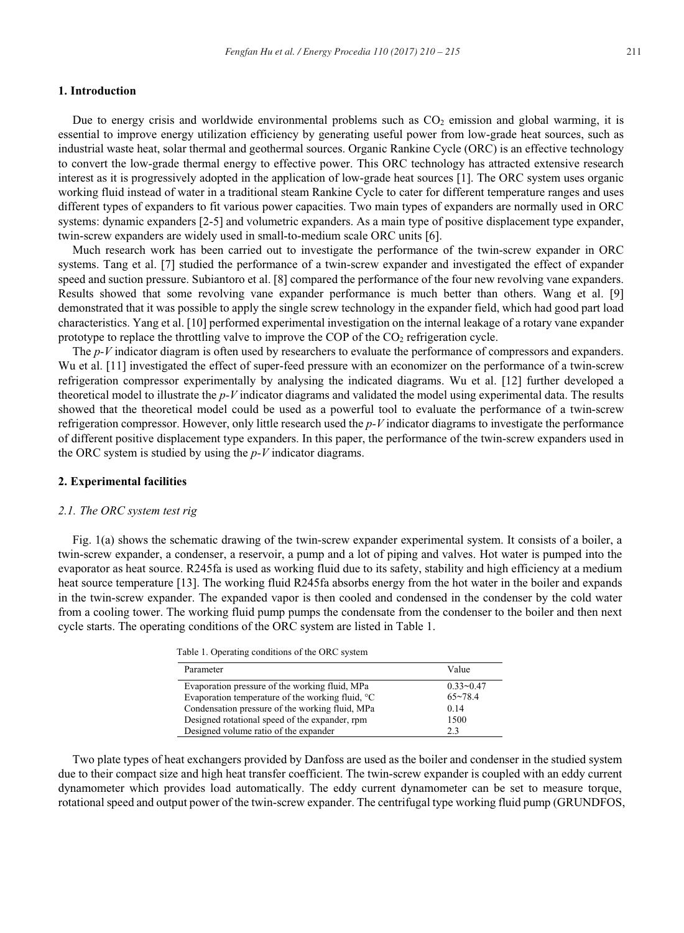# **1. Introduction**

Due to energy crisis and worldwide environmental problems such as  $CO<sub>2</sub>$  emission and global warming, it is essential to improve energy utilization efficiency by generating useful power from low-grade heat sources, such as industrial waste heat, solar thermal and geothermal sources. Organic Rankine Cycle (ORC) is an effective technology to convert the low-grade thermal energy to effective power. This ORC technology has attracted extensive research interest as it is progressively adopted in the application of low-grade heat sources [1]. The ORC system uses organic working fluid instead of water in a traditional steam Rankine Cycle to cater for different temperature ranges and uses different types of expanders to fit various power capacities. Two main types of expanders are normally used in ORC systems: dynamic expanders [2-5] and volumetric expanders. As a main type of positive displacement type expander, twin-screw expanders are widely used in small-to-medium scale ORC units [6].

Much research work has been carried out to investigate the performance of the twin-screw expander in ORC systems. Tang et al. [7] studied the performance of a twin-screw expander and investigated the effect of expander speed and suction pressure. Subiantoro et al. [8] compared the performance of the four new revolving vane expanders. Results showed that some revolving vane expander performance is much better than others. Wang et al. [9] demonstrated that it was possible to apply the single screw technology in the expander field, which had good part load characteristics. Yang et al. [10] performed experimental investigation on the internal leakage of a rotary vane expander prototype to replace the throttling valve to improve the COP of the CO2 refrigeration cycle.

The *p-V* indicator diagram is often used by researchers to evaluate the performance of compressors and expanders. Wu et al. [11] investigated the effect of super-feed pressure with an economizer on the performance of a twin-screw refrigeration compressor experimentally by analysing the indicated diagrams. Wu et al. [12] further developed a theoretical model to illustrate the *p-V* indicator diagrams and validated the model using experimental data. The results showed that the theoretical model could be used as a powerful tool to evaluate the performance of a twin-screw refrigeration compressor. However, only little research used the *p-V* indicator diagrams to investigate the performance of different positive displacement type expanders. In this paper, the performance of the twin-screw expanders used in the ORC system is studied by using the *p-V* indicator diagrams.

#### **2. Experimental facilities**

#### *2.1. The ORC system test rig*

Fig. 1(a) shows the schematic drawing of the twin-screw expander experimental system. It consists of a boiler, a twin-screw expander, a condenser, a reservoir, a pump and a lot of piping and valves. Hot water is pumped into the evaporator as heat source. R245fa is used as working fluid due to its safety, stability and high efficiency at a medium heat source temperature [13]. The working fluid R245fa absorbs energy from the hot water in the boiler and expands in the twin-screw expander. The expanded vapor is then cooled and condensed in the condenser by the cold water from a cooling tower. The working fluid pump pumps the condensate from the condenser to the boiler and then next cycle starts. The operating conditions of the ORC system are listed in Table 1.

Table 1. Operating conditions of the ORC system

| Parameter                                                    | Value         |
|--------------------------------------------------------------|---------------|
| Evaporation pressure of the working fluid, MPa               | $0.33 - 0.47$ |
| Evaporation temperature of the working fluid, <sup>o</sup> C | $65 - 78.4$   |
| Condensation pressure of the working fluid, MPa              | 0.14          |
| Designed rotational speed of the expander, rpm               | 1500          |
| Designed volume ratio of the expander                        | 23            |

Two plate types of heat exchangers provided by Danfoss are used as the boiler and condenser in the studied system due to their compact size and high heat transfer coefficient. The twin-screw expander is coupled with an eddy current dynamometer which provides load automatically. The eddy current dynamometer can be set to measure torque, rotational speed and output power of the twin-screw expander. The centrifugal type working fluid pump (GRUNDFOS,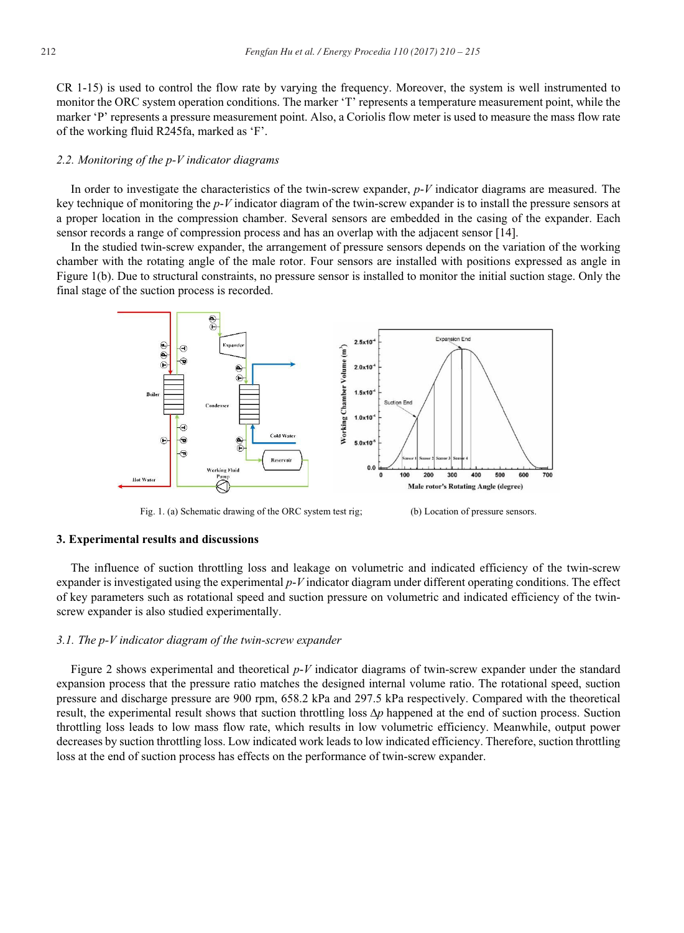CR 1-15) is used to control the flow rate by varying the frequency. Moreover, the system is well instrumented to monitor the ORC system operation conditions. The marker 'T' represents a temperature measurement point, while the marker 'P' represents a pressure measurement point. Also, a Coriolis flow meter is used to measure the mass flow rate of the working fluid R245fa, marked as 'F'.

#### *2.2. Monitoring of the p-V indicator diagrams*

In order to investigate the characteristics of the twin-screw expander, *p*-*V* indicator diagrams are measured. The key technique of monitoring the *p*-*V* indicator diagram of the twin-screw expander is to install the pressure sensors at a proper location in the compression chamber. Several sensors are embedded in the casing of the expander. Each sensor records a range of compression process and has an overlap with the adjacent sensor [14].

In the studied twin-screw expander, the arrangement of pressure sensors depends on the variation of the working chamber with the rotating angle of the male rotor. Four sensors are installed with positions expressed as angle in Figure 1(b). Due to structural constraints, no pressure sensor is installed to monitor the initial suction stage. Only the final stage of the suction process is recorded.



Fig. 1. (a) Schematic drawing of the ORC system test rig; (b) Location of pressure sensors.

#### **3. Experimental results and discussions**

The influence of suction throttling loss and leakage on volumetric and indicated efficiency of the twin-screw expander is investigated using the experimental *p*-*V* indicator diagram under different operating conditions. The effect of key parameters such as rotational speed and suction pressure on volumetric and indicated efficiency of the twinscrew expander is also studied experimentally.

#### *3.1. The p-V indicator diagram of the twin-screw expander*

Figure 2 shows experimental and theoretical *p*-*V* indicator diagrams of twin-screw expander under the standard expansion process that the pressure ratio matches the designed internal volume ratio. The rotational speed, suction pressure and discharge pressure are 900 rpm, 658.2 kPa and 297.5 kPa respectively. Compared with the theoretical result, the experimental result shows that suction throttling loss ∆*p* happened at the end of suction process. Suction throttling loss leads to low mass flow rate, which results in low volumetric efficiency. Meanwhile, output power decreases by suction throttling loss. Low indicated work leads to low indicated efficiency. Therefore, suction throttling loss at the end of suction process has effects on the performance of twin-screw expander.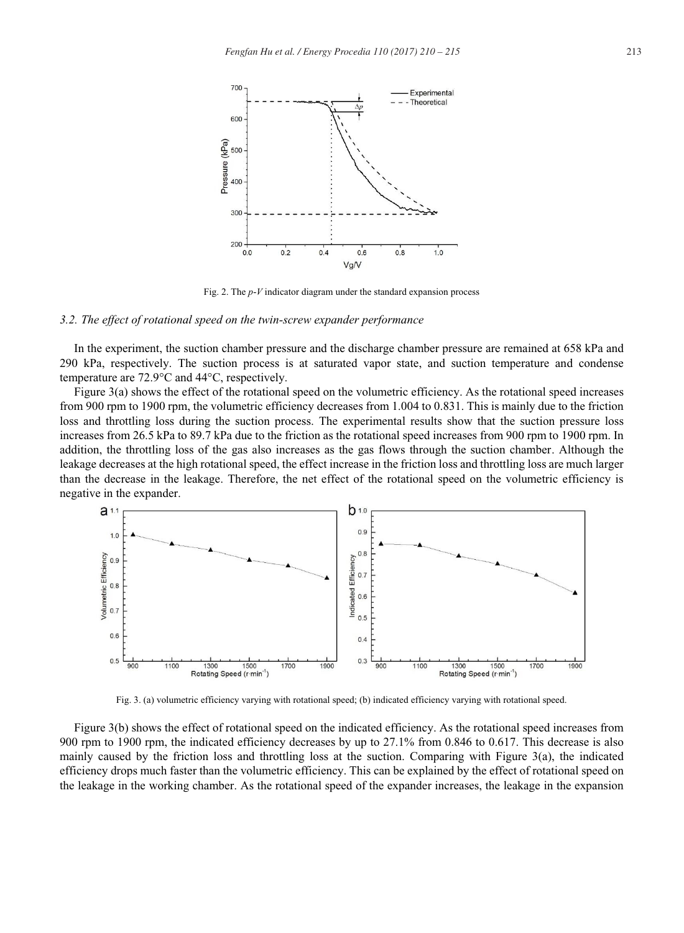

Fig. 2. The *p*-*V* indicator diagram under the standard expansion process

#### *3.2. The effect of rotational speed on the twin-screw expander performance*

In the experiment, the suction chamber pressure and the discharge chamber pressure are remained at 658 kPa and 290 kPa, respectively. The suction process is at saturated vapor state, and suction temperature and condense temperature are  $72.9^{\circ}$ C and  $44^{\circ}$ C, respectively.

Figure 3(a) shows the effect of the rotational speed on the volumetric efficiency. As the rotational speed increases from 900 rpm to 1900 rpm, the volumetric efficiency decreases from 1.004 to 0.831. This is mainly due to the friction loss and throttling loss during the suction process. The experimental results show that the suction pressure loss increases from 26.5 kPa to 89.7 kPa due to the friction as the rotational speed increases from 900 rpm to 1900 rpm. In addition, the throttling loss of the gas also increases as the gas flows through the suction chamber. Although the leakage decreases at the high rotational speed, the effect increase in the friction loss and throttling loss are much larger than the decrease in the leakage. Therefore, the net effect of the rotational speed on the volumetric efficiency is negative in the expander.



Fig. 3. (a) volumetric efficiency varying with rotational speed; (b) indicated efficiency varying with rotational speed.

Figure 3(b) shows the effect of rotational speed on the indicated efficiency. As the rotational speed increases from 900 rpm to 1900 rpm, the indicated efficiency decreases by up to 27.1% from 0.846 to 0.617. This decrease is also mainly caused by the friction loss and throttling loss at the suction. Comparing with Figure 3(a), the indicated efficiency drops much faster than the volumetric efficiency. This can be explained by the effect of rotational speed on the leakage in the working chamber. As the rotational speed of the expander increases, the leakage in the expansion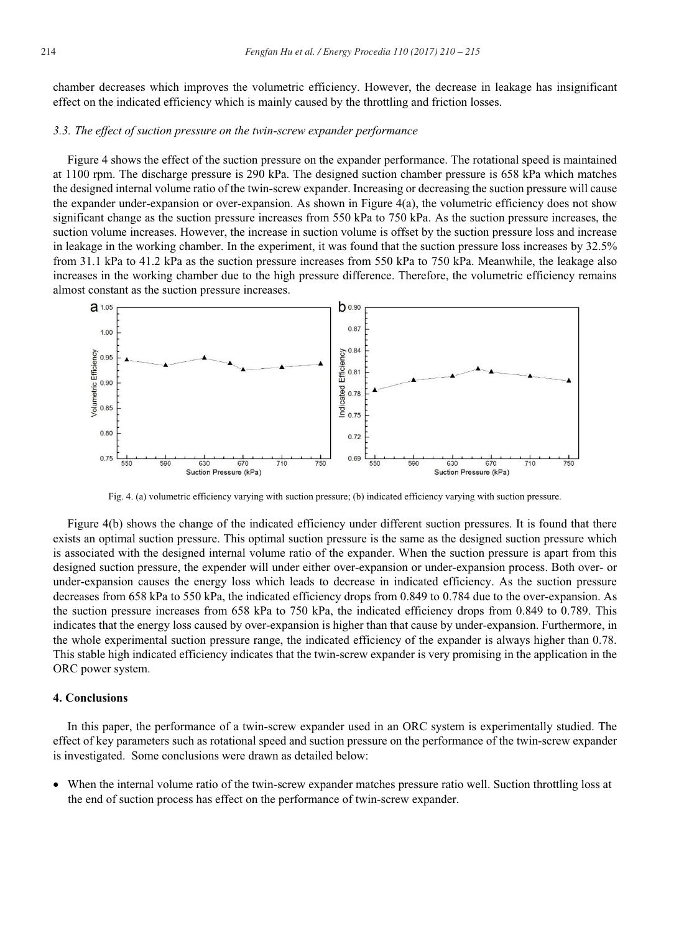chamber decreases which improves the volumetric efficiency. However, the decrease in leakage has insignificant effect on the indicated efficiency which is mainly caused by the throttling and friction losses.

### *3.3. The effect of suction pressure on the twin-screw expander performance*

Figure 4 shows the effect of the suction pressure on the expander performance. The rotational speed is maintained at 1100 rpm. The discharge pressure is 290 kPa. The designed suction chamber pressure is 658 kPa which matches the designed internal volume ratio of the twin-screw expander. Increasing or decreasing the suction pressure will cause the expander under-expansion or over-expansion. As shown in Figure 4(a), the volumetric efficiency does not show significant change as the suction pressure increases from 550 kPa to 750 kPa. As the suction pressure increases, the suction volume increases. However, the increase in suction volume is offset by the suction pressure loss and increase in leakage in the working chamber. In the experiment, it was found that the suction pressure loss increases by 32.5% from 31.1 kPa to 41.2 kPa as the suction pressure increases from 550 kPa to 750 kPa. Meanwhile, the leakage also increases in the working chamber due to the high pressure difference. Therefore, the volumetric efficiency remains almost constant as the suction pressure increases.



Fig. 4. (a) volumetric efficiency varying with suction pressure; (b) indicated efficiency varying with suction pressure.

Figure 4(b) shows the change of the indicated efficiency under different suction pressures. It is found that there exists an optimal suction pressure. This optimal suction pressure is the same as the designed suction pressure which is associated with the designed internal volume ratio of the expander. When the suction pressure is apart from this designed suction pressure, the expender will under either over-expansion or under-expansion process. Both over- or under-expansion causes the energy loss which leads to decrease in indicated efficiency. As the suction pressure decreases from 658 kPa to 550 kPa, the indicated efficiency drops from 0.849 to 0.784 due to the over-expansion. As the suction pressure increases from 658 kPa to 750 kPa, the indicated efficiency drops from 0.849 to 0.789. This indicates that the energy loss caused by over-expansion is higher than that cause by under-expansion. Furthermore, in the whole experimental suction pressure range, the indicated efficiency of the expander is always higher than 0.78. This stable high indicated efficiency indicates that the twin-screw expander is very promising in the application in the ORC power system.

# **4. Conclusions**

In this paper, the performance of a twin-screw expander used in an ORC system is experimentally studied. The effect of key parameters such as rotational speed and suction pressure on the performance of the twin-screw expander is investigated. Some conclusions were drawn as detailed below:

When the internal volume ratio of the twin-screw expander matches pressure ratio well. Suction throttling loss at the end of suction process has effect on the performance of twin-screw expander.